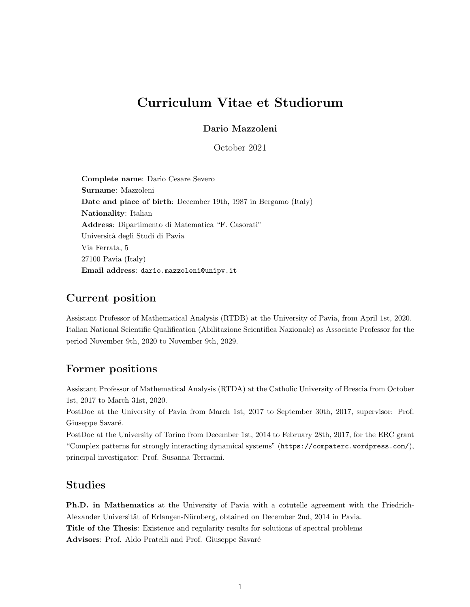# Curriculum Vitae et Studiorum

#### Dario Mazzoleni

October 2021

Complete name: Dario Cesare Severo Surname: Mazzoleni Date and place of birth: December 19th, 1987 in Bergamo (Italy) Nationality: Italian Address: Dipartimento di Matematica "F. Casorati" Universit`a degli Studi di Pavia Via Ferrata, 5 27100 Pavia (Italy) Email address: dario.mazzoleni@unipv.it

### Current position

Assistant Professor of Mathematical Analysis (RTDB) at the University of Pavia, from April 1st, 2020. Italian National Scientific Qualification (Abilitazione Scientifica Nazionale) as Associate Professor for the period November 9th, 2020 to November 9th, 2029.

#### Former positions

Assistant Professor of Mathematical Analysis (RTDA) at the Catholic University of Brescia from October 1st, 2017 to March 31st, 2020.

PostDoc at the University of Pavia from March 1st, 2017 to September 30th, 2017, supervisor: Prof. Giuseppe Savaré.

PostDoc at the University of Torino from December 1st, 2014 to February 28th, 2017, for the ERC grant "Complex patterns for strongly interacting dynamical systems" (https://compaterc.wordpress.com/), principal investigator: Prof. Susanna Terracini.

#### Studies

Ph.D. in Mathematics at the University of Pavia with a cotutelle agreement with the Friedrich-Alexander Universität of Erlangen-Nürnberg, obtained on December 2nd, 2014 in Pavia. Title of the Thesis: Existence and regularity results for solutions of spectral problems Advisors: Prof. Aldo Pratelli and Prof. Giuseppe Savaré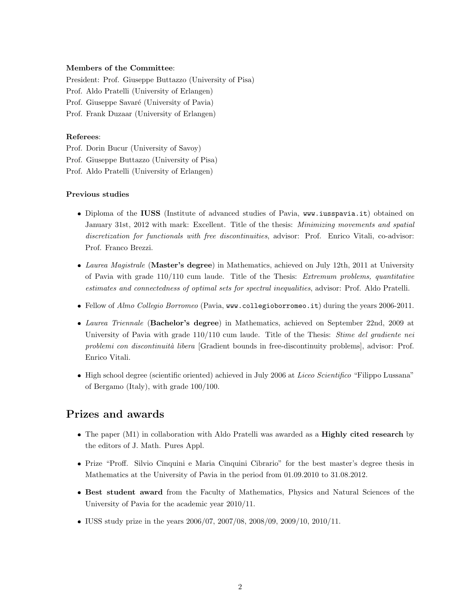#### Members of the Committee:

President: Prof. Giuseppe Buttazzo (University of Pisa) Prof. Aldo Pratelli (University of Erlangen) Prof. Giuseppe Savaré (University of Pavia) Prof. Frank Duzaar (University of Erlangen)

#### Referees:

Prof. Dorin Bucur (University of Savoy) Prof. Giuseppe Buttazzo (University of Pisa) Prof. Aldo Pratelli (University of Erlangen)

#### Previous studies

- Diploma of the IUSS (Institute of advanced studies of Pavia, www.iusspavia.it) obtained on January 31st, 2012 with mark: Excellent. Title of the thesis: Minimizing movements and spatial discretization for functionals with free discontinuities, advisor: Prof. Enrico Vitali, co-advisor: Prof. Franco Brezzi.
- Laurea Magistrale (Master's degree) in Mathematics, achieved on July 12th, 2011 at University of Pavia with grade 110/110 cum laude. Title of the Thesis: Extremum problems, quantitative estimates and connectedness of optimal sets for spectral inequalities, advisor: Prof. Aldo Pratelli.
- Fellow of Almo Collegio Borromeo (Pavia, www.collegioborromeo.it) during the years 2006-2011.
- Laurea Triennale (Bachelor's degree) in Mathematics, achieved on September 22nd, 2009 at University of Pavia with grade 110/110 cum laude. Title of the Thesis: *Stime del gradiente nei* problemi con discontinuità libera [Gradient bounds in free-discontinuity problems], advisor: Prof. Enrico Vitali.
- High school degree (scientific oriented) achieved in July 2006 at Liceo Scientifico "Filippo Lussana" of Bergamo (Italy), with grade 100/100.

# Prizes and awards

- The paper (M1) in collaboration with Aldo Pratelli was awarded as a **Highly cited research** by the editors of J. Math. Pures Appl.
- Prize "Proff. Silvio Cinquini e Maria Cinquini Cibrario" for the best master's degree thesis in Mathematics at the University of Pavia in the period from 01.09.2010 to 31.08.2012.
- Best student award from the Faculty of Mathematics, Physics and Natural Sciences of the University of Pavia for the academic year 2010/11.
- IUSS study prize in the years 2006/07, 2007/08, 2008/09, 2009/10, 2010/11.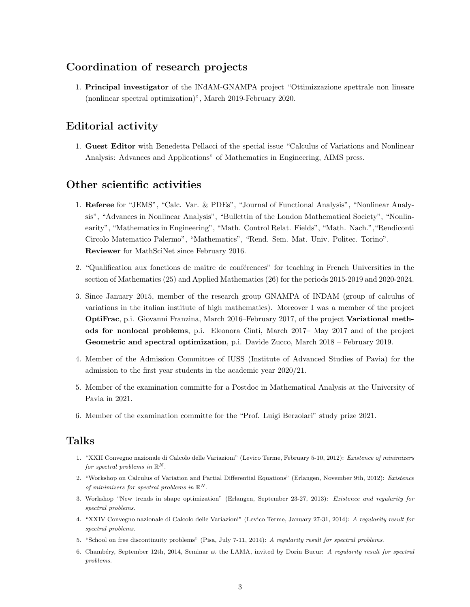### Coordination of research projects

1. Principal investigator of the INdAM-GNAMPA project "Ottimizzazione spettrale non lineare (nonlinear spectral optimization)", March 2019-February 2020.

## Editorial activity

1. Guest Editor with Benedetta Pellacci of the special issue "Calculus of Variations and Nonlinear Analysis: Advances and Applications" of Mathematics in Engineering, AIMS press.

### Other scientific activities

- 1. Referee for "JEMS", "Calc. Var. & PDEs", "Journal of Functional Analysis", "Nonlinear Analysis", "Advances in Nonlinear Analysis", "Bullettin of the London Mathematical Society", "Nonlinearity", "Mathematics in Engineering", "Math. Control Relat. Fields", "Math. Nach.","Rendiconti Circolo Matematico Palermo", "Mathematics", "Rend. Sem. Mat. Univ. Politec. Torino". Reviewer for MathSciNet since February 2016.
- 2. "Qualification aux fonctions de maître de conférences" for teaching in French Universities in the section of Mathematics (25) and Applied Mathematics (26) for the periods 2015-2019 and 2020-2024.
- 3. Since January 2015, member of the research group GNAMPA of INDAM (group of calculus of variations in the italian institute of high mathematics). Moreover I was a member of the project OptiFrac, p.i. Giovanni Franzina, March 2016–February 2017, of the project Variational methods for nonlocal problems, p.i. Eleonora Cinti, March 2017– May 2017 and of the project Geometric and spectral optimization, p.i. Davide Zucco, March 2018 – February 2019.
- 4. Member of the Admission Committee of IUSS (Institute of Advanced Studies of Pavia) for the admission to the first year students in the academic year 2020/21.
- 5. Member of the examination committe for a Postdoc in Mathematical Analysis at the University of Pavia in 2021.
- 6. Member of the examination committe for the "Prof. Luigi Berzolari" study prize 2021.

### Talks

- 1. "XXII Convegno nazionale di Calcolo delle Variazioni" (Levico Terme, February 5-10, 2012): Existence of minimizers for spectral problems in  $\mathbb{R}^N$ .
- 2. "Workshop on Calculus of Variation and Partial Differential Equations" (Erlangen, November 9th, 2012): Existence of minimizers for spectral problems in  $\mathbb{R}^N$ .
- 3. Workshop "New trends in shape optimization" (Erlangen, September 23-27, 2013): Existence and regularity for spectral problems.
- 4. "XXIV Convegno nazionale di Calcolo delle Variazioni" (Levico Terme, January 27-31, 2014): A regularity result for spectral problems.
- 5. "School on free discontinuity problems" (Pisa, July 7-11, 2014): A regularity result for spectral problems.
- 6. Chamb´ery, September 12th, 2014, Seminar at the LAMA, invited by Dorin Bucur: A regularity result for spectral problems.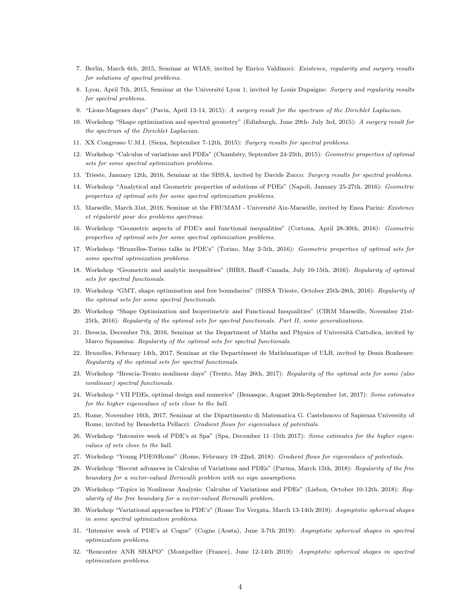- 7. Berlin, March 6th, 2015, Seminar at WIAS, invited by Enrico Valdinoci: Existence, regularity and surgery results for solutions of spectral problems.
- 8. Lyon, April 7th, 2015, Seminar at the Université Lyon 1, invited by Louis Dupaigne: Surgery and regularity results for spectral problems.
- 9. "Lions-Magenes days" (Pavia, April 13-14, 2015): A surgery result for the spectrum of the Dirichlet Laplacian.
- 10. Workshop "Shape optimization and spectral geometry" (Edinburgh, June 29th- July 3rd, 2015): A surgery result for the spectrum of the Dirichlet Laplacian.
- 11. XX Congresso U.M.I. (Siena, September 7-12th, 2015): Surgery results for spectral problems.
- 12. Workshop "Calculus of variations and PDEs" (Chambéry, September 24-25th, 2015): Geometric properties of optimal sets for some spectral optimization problems.
- 13. Trieste, January 12th, 2016, Seminar at the SISSA, invited by Davide Zucco: Surgery results for spectral problems.
- 14. Workshop "Analytical and Geometric properties of solutions of PDEs" (Napoli, January 25-27th, 2016): Geometric properties of optimal sets for some spectral optimization problems.
- 15. Marseille, March 31st, 2016, Seminar at the FRUMAM Université Aix-Marseille, invited by Enea Parini: Existence et régularité pour des problems spectraux.
- 16. Workshop "Geometric aspects of PDE's and functional inequalities" (Cortona, April 28-30th, 2016): Geometric properties of optimal sets for some spectral optimization problems.
- 17. Workshop "Bruxelles-Torino talks in PDE's" (Torino, May 2-5th, 2016): Geometric properties of optimal sets for some spectral optimization problems.
- 18. Workshop "Geometric and analytic inequalities" (BIRS, Banff–Canada, July 10-15th, 2016): Regularity of optimal sets for spectral functionals.
- 19. Workshop "GMT, shape optimisation and free boundaries" (SISSA Trieste, October 25th-28th, 2016): Regularity of the optimal sets for some spectral functionals.
- 20. Workshop "Shape Optimization and Isoperimetric and Functional Inequalities" (CIRM Marseille, November 21st-25th, 2016): Regularity of the optimal sets for spectral functionals. Part II, some generalizations.
- 21. Brescia, December 7th, 2016, Seminar at the Department of Maths and Physics of Università Cattolica, invited by Marco Squassina: Regularity of the optimal sets for spectral functionals.
- 22. Bruxelles, February 14th, 2017, Seminar at the Departément de Mathématique of ULB, invited by Denis Bonheure: Regularity of the optimal sets for spectral functionals.
- 23. Workshop "Brescia-Trento nonlinear days" (Trento, May 26th, 2017): Regularity of the optimal sets for some (also nonlinear) spectral functionals.
- 24. Workshop " VII PDEs, optimal design and numerics" (Benasque, August 20th-September 1st, 2017): Some estimates for the higher eigenvalues of sets close to the ball.
- 25. Rome, November 16th, 2017, Seminar at the Dipartimento di Matematica G. Castelnuovo of Sapienza University of Rome, invited by Benedetta Pellacci: Gradient flows for eigenvalues of potentials.
- 26. Workshop "Intensive week of PDE's at Spa" (Spa, December 11–15th 2017): Some estimates for the higher eigenvalues of sets close to the ball.
- 27. Workshop "Young PDE@Rome" (Rome, February 19–22nd, 2018): Gradient flows for eigenvalues of potentials.
- 28. Workshop "Recent advances in Calculus of Variations and PDEs" (Parma, March 15th, 2018): Regularity of the free boundary for a vector-valued Bernoulli problem with no sign assumptions.
- 29. Workshop "Topics in Nonlinear Analysis: Calculus of Variations and PDEs" (Lisbon, October 10-12th, 2018): Regularity of the free boundary for a vector-valued Bernoulli problem.
- 30. Workshop "Variational approaches in PDE's" (Rome Tor Vergata, March 13-14th 2019): Asymptotic spherical shapes in some spectral optimization problems.
- 31. "Intensive week of PDE's at Cogne" (Cogne (Aosta), June 3-7th 2019): Asymptotic spherical shapes in spectral optimization problems.
- 32. "Rencontre ANR SHAPO" (Montpellier (France), June 12-14th 2019): Asymptotic spherical shapes in spectral optimization problems.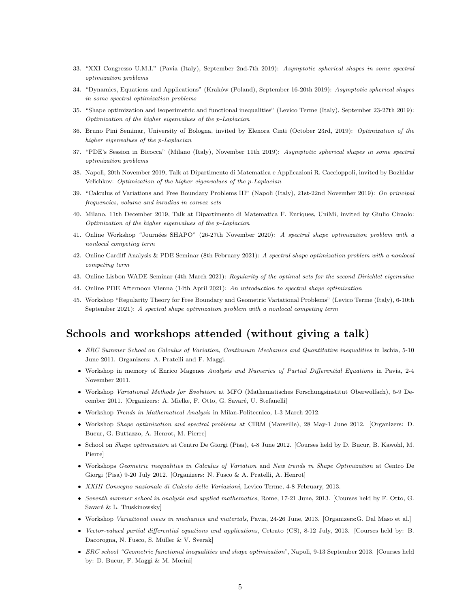- 33. "XXI Congresso U.M.I." (Pavia (Italy), September 2nd-7th 2019): Asymptotic spherical shapes in some spectral optimization problems
- 34. "Dynamics, Equations and Applications" (Kraków (Poland), September 16-20th 2019): Asymptotic spherical shapes in some spectral optimization problems
- 35. "Shape optimization and isoperimetric and functional inequalities" (Levico Terme (Italy), September 23-27th 2019): Optimization of the higher eigenvalues of the p-Laplacian
- 36. Bruno Pini Seminar, University of Bologna, invited by Elenora Cinti (October 23rd, 2019): Optimization of the higher eigenvalues of the p-Laplacian
- 37. "PDE's Session in Bicocca" (Milano (Italy), November 11th 2019): Asymptotic spherical shapes in some spectral optimization problems
- 38. Napoli, 20th November 2019, Talk at Dipartimento di Matematica e Applicazioni R. Caccioppoli, invited by Bozhidar Velichkov: Optimization of the higher eigenvalues of the p-Laplacian
- 39. "Calculus of Variations and Free Boundary Problems III" (Napoli (Italy), 21st-22nd November 2019): On principal frequencies, volume and inradius in convex sets
- 40. Milano, 11th December 2019, Talk at Dipartimento di Matematica F. Enriques, UniMi, invited by Giulio Ciraolo: Optimization of the higher eigenvalues of the p-Laplacian
- 41. Online Workshop "Journées SHAPO" (26-27th November 2020): A spectral shape optimization problem with a nonlocal competing term
- 42. Online Cardiff Analysis & PDE Seminar (8th February 2021): A spectral shape optimization problem with a nonlocal competing term
- 43. Online Lisbon WADE Seminar (4th March 2021): Regularity of the optimal sets for the second Dirichlet eigenvalue
- 44. Online PDE Afternoon Vienna (14th April 2021): An introduction to spectral shape optimization
- 45. Workshop "Regularity Theory for Free Boundary and Geometric Variational Problems" (Levico Terme (Italy), 6-10th September 2021): A spectral shape optimization problem with a nonlocal competing term

### Schools and workshops attended (without giving a talk)

- ERC Summer School on Calculus of Variation, Continuum Mechanics and Quantitative inequalities in Ischia, 5-10 June 2011. Organizers: A. Pratelli and F. Maggi.
- Workshop in memory of Enrico Magenes Analysis and Numerics of Partial Differential Equations in Pavia, 2-4 November 2011.
- Workshop Variational Methods for Evolution at MFO (Mathematisches Forschungsinstitut Oberwolfach), 5-9 December 2011. [Organizers: A. Mielke, F. Otto, G. Savaré, U. Stefanelli]
- Workshop Trends in Mathematical Analysis in Milan-Politecnico, 1-3 March 2012.
- Workshop Shape optimization and spectral problems at CIRM (Marseille), 28 May-1 June 2012. [Organizers: D. Bucur, G. Buttazzo, A. Henrot, M. Pierre]
- School on Shape optimization at Centro De Giorgi (Pisa), 4-8 June 2012. [Courses held by D. Bucur, B. Kawohl, M. Pierre]
- Workshops Geometric inequalities in Calculus of Variation and New trends in Shape Optimization at Centro De Giorgi (Pisa) 9-20 July 2012. [Organizers: N. Fusco & A. Pratelli, A. Henrot]
- XXIII Convegno nazionale di Calcolo delle Variazioni, Levico Terme, 4-8 February, 2013.
- Seventh summer school in analysis and applied mathematics, Rome, 17-21 June, 2013. [Courses held by F. Otto, G. Savaré & L. Truskinowsky]
- Workshop Variational views in mechanics and materials, Pavia, 24-26 June, 2013. [Organizers:G. Dal Maso et al.]
- Vector-valued partial differential equations and applications, Cetrato (CS), 8-12 July, 2013. [Courses held by: B. Dacorogna, N. Fusco, S. Müller & V. Sverak]
- ERC school "Geometric functional inequalities and shape optimization", Napoli, 9-13 September 2013. [Courses held by: D. Bucur, F. Maggi & M. Morini]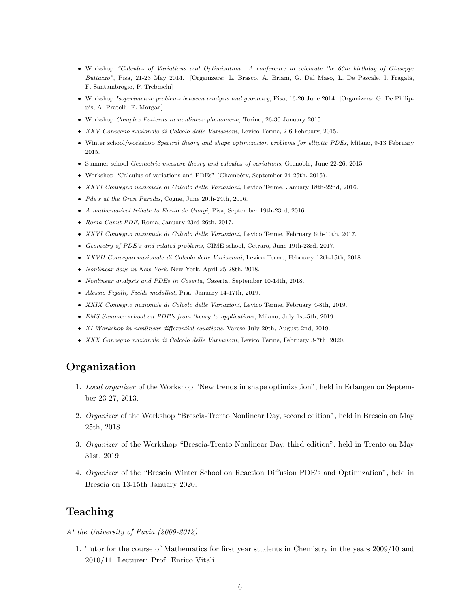- Workshop "Calculus of Variations and Optimization. A conference to celebrate the 60th birthday of Giuseppe Buttazzo", Pisa, 21-23 May 2014. [Organizers: L. Brasco, A. Briani, G. Dal Maso, L. De Pascale, I. Fragalà, F. Santambrogio, P. Trebeschi]
- Workshop Isoperimetric problems between analysis and geometry, Pisa, 16-20 June 2014. [Organizers: G. De Philippis, A. Pratelli, F. Morgan]
- Workshop Complex Patterns in nonlinear phenomena, Torino, 26-30 January 2015.
- XXV Convegno nazionale di Calcolo delle Variazioni, Levico Terme, 2-6 February, 2015.
- Winter school/workshop Spectral theory and shape optimization problems for elliptic PDEs, Milano, 9-13 February 2015.
- Summer school Geometric measure theory and calculus of variations, Grenoble, June 22-26, 2015
- Workshop "Calculus of variations and PDEs" (Chambéry, September 24-25th, 2015).
- XXVI Convegno nazionale di Calcolo delle Variazioni, Levico Terme, January 18th-22nd, 2016.
- Pde's at the Gran Paradis, Cogne, June 20th-24th, 2016.
- A mathematical tribute to Ennio de Giorgi, Pisa, September 19th-23rd, 2016.
- Roma Caput PDE, Roma, January 23rd-26th, 2017.
- XXVI Convegno nazionale di Calcolo delle Variazioni, Levico Terme, February 6th-10th, 2017.
- Geometry of PDE's and related problems, CIME school, Cetraro, June 19th-23rd, 2017.
- XXVII Convegno nazionale di Calcolo delle Variazioni, Levico Terme, February 12th-15th, 2018.
- Nonlinear days in New York, New York, April 25-28th, 2018.
- Nonlinear analysis and PDEs in Caserta, Caserta, September 10-14th, 2018.
- Alessio Figalli, Fields medallist, Pisa, January 14-17th, 2019.
- XXIX Convegno nazionale di Calcolo delle Variazioni, Levico Terme, February 4-8th, 2019.
- EMS Summer school on PDE's from theory to applications, Milano, July 1st-5th, 2019.
- XI Workshop in nonlinear differential equations, Varese July 29th, August 2nd, 2019.
- XXX Convegno nazionale di Calcolo delle Variazioni, Levico Terme, February 3-7th, 2020.

### Organization

- 1. Local organizer of the Workshop "New trends in shape optimization", held in Erlangen on September 23-27, 2013.
- 2. Organizer of the Workshop "Brescia-Trento Nonlinear Day, second edition", held in Brescia on May 25th, 2018.
- 3. Organizer of the Workshop "Brescia-Trento Nonlinear Day, third edition", held in Trento on May 31st, 2019.
- 4. Organizer of the "Brescia Winter School on Reaction Diffusion PDE's and Optimization", held in Brescia on 13-15th January 2020.

#### Teaching

#### At the University of Pavia (2009-2012)

1. Tutor for the course of Mathematics for first year students in Chemistry in the years 2009/10 and 2010/11. Lecturer: Prof. Enrico Vitali.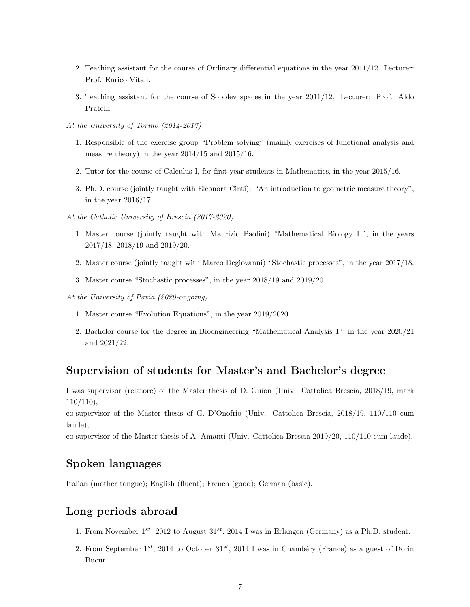- 2. Teaching assistant for the course of Ordinary differential equations in the year 2011/12. Lecturer: Prof. Enrico Vitali.
- 3. Teaching assistant for the course of Sobolev spaces in the year 2011/12. Lecturer: Prof. Aldo Pratelli.
- At the University of Torino (2014-2017)
	- 1. Responsible of the exercise group "Problem solving" (mainly exercises of functional analysis and measure theory) in the year 2014/15 and 2015/16.
	- 2. Tutor for the course of Calculus I, for first year students in Mathematics, in the year 2015/16.
	- 3. Ph.D. course (jointly taught with Eleonora Cinti): "An introduction to geometric measure theory", in the year 2016/17.
- At the Catholic University of Brescia (2017-2020)
	- 1. Master course (jointly taught with Maurizio Paolini) "Mathematical Biology II", in the years 2017/18, 2018/19 and 2019/20.
	- 2. Master course (jointly taught with Marco Degiovanni) "Stochastic processes", in the year 2017/18.
	- 3. Master course "Stochastic processes", in the year 2018/19 and 2019/20.
- At the University of Pavia (2020-ongoing)
	- 1. Master course "Evolution Equations", in the year 2019/2020.
	- 2. Bachelor course for the degree in Bioengineering "Mathematical Analysis 1", in the year 2020/21 and 2021/22.

#### Supervision of students for Master's and Bachelor's degree

I was supervisor (relatore) of the Master thesis of D. Guion (Univ. Cattolica Brescia, 2018/19, mark 110/110),

co-supervisor of the Master thesis of G. D'Onofrio (Univ. Cattolica Brescia, 2018/19, 110/110 cum laude),

co-supervisor of the Master thesis of A. Amanti (Univ. Cattolica Brescia 2019/20, 110/110 cum laude).

#### Spoken languages

Italian (mother tongue); English (fluent); French (good); German (basic).

# Long periods abroad

- 1. From November  $1^{st}$ , 2012 to August  $31^{st}$ , 2014 I was in Erlangen (Germany) as a Ph.D. student.
- 2. From September  $1^{st}$ , 2014 to October  $31^{st}$ , 2014 I was in Chambéry (France) as a guest of Dorin Bucur.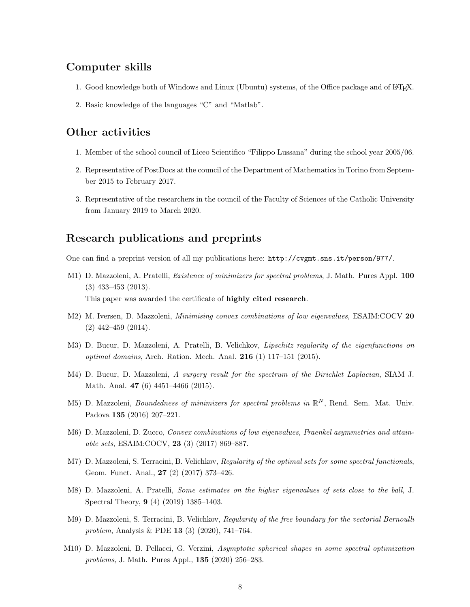#### Computer skills

- 1. Good knowledge both of Windows and Linux (Ubuntu) systems, of the Office package and of LATEX.
- 2. Basic knowledge of the languages "C" and "Matlab".

### Other activities

- 1. Member of the school council of Liceo Scientifico "Filippo Lussana" during the school year 2005/06.
- 2. Representative of PostDocs at the council of the Department of Mathematics in Torino from September 2015 to February 2017.
- 3. Representative of the researchers in the council of the Faculty of Sciences of the Catholic University from January 2019 to March 2020.

### Research publications and preprints

One can find a preprint version of all my publications here: http://cvgmt.sns.it/person/977/.

- M1) D. Mazzoleni, A. Pratelli, *Existence of minimizers for spectral problems*, J. Math. Pures Appl. 100 (3) 433–453 (2013). This paper was awarded the certificate of highly cited research.
- M2) M. Iversen, D. Mazzoleni, *Minimising convex combinations of low eigenvalues*, ESAIM:COCV 20 (2) 442–459 (2014).
- M3) D. Bucur, D. Mazzoleni, A. Pratelli, B. Velichkov, Lipschitz regularity of the eigenfunctions on optimal domains, Arch. Ration. Mech. Anal. 216 (1) 117–151 (2015).
- M4) D. Bucur, D. Mazzoleni, A surgery result for the spectrum of the Dirichlet Laplacian, SIAM J. Math. Anal. 47 (6) 4451–4466 (2015).
- M5) D. Mazzoleni, *Boundedness of minimizers for spectral problems in*  $\mathbb{R}^N$ , Rend. Sem. Mat. Univ. Padova 135 (2016) 207–221.
- M6) D. Mazzoleni, D. Zucco, Convex combinations of low eigenvalues, Fraenkel asymmetries and attainable sets, ESAIM:COCV, 23 (3) (2017) 869–887.
- M7) D. Mazzoleni, S. Terracini, B. Velichkov, Regularity of the optimal sets for some spectral functionals, Geom. Funct. Anal., 27 (2) (2017) 373–426.
- M8) D. Mazzoleni, A. Pratelli, Some estimates on the higher eigenvalues of sets close to the ball, J. Spectral Theory, 9 (4) (2019) 1385–1403.
- M9) D. Mazzoleni, S. Terracini, B. Velichkov, Regularity of the free boundary for the vectorial Bernoulli problem, Analysis & PDE 13 (3) (2020), 741–764.
- M10) D. Mazzoleni, B. Pellacci, G. Verzini, Asymptotic spherical shapes in some spectral optimization problems, J. Math. Pures Appl., 135 (2020) 256–283.